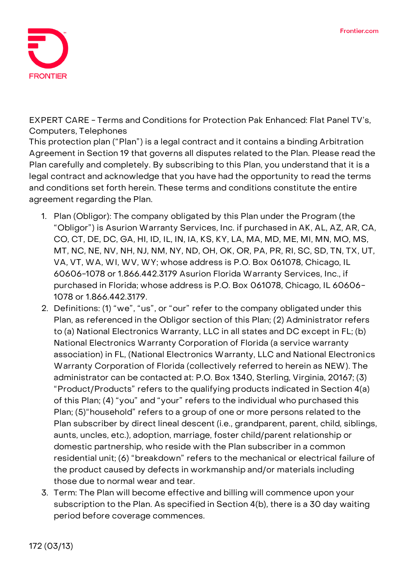

**EXPERT CARE - Terms and Conditions for Protection Pak Enhanced: Flat Panel TV's, Computers, Telephones**

This protection plan ("Plan") is a legal contract and it contains a binding Arbitration Agreement in Section 19 that governs all disputes related to the Plan. Please read the Plan carefully and completely. By subscribing to this Plan, you understand that it is a legal contract and acknowledge that you have had the opportunity to read the terms and conditions set forth herein. These terms and conditions constitute the entire agreement regarding the Plan.

- 1. **Plan (Obligor):** The company obligated by this Plan under the Program (the "Obligor") is Asurion Warranty Services, Inc. if purchased in AK, AL, AZ, AR, CA, CO, CT, DE, DC, GA, HI, ID, IL, IN, IA, KS, KY, LA, MA, MD, ME, MI, MN, MO, MS, MT, NC, NE, NV, NH, NJ, NM, NY, ND, OH, OK, OR, PA, PR, RI, SC, SD, TN, TX, UT, VA, VT, WA, WI, WV, WY; whose address is P.O. Box 061078, Chicago, IL 60606-1078 or 1.866.442.3179 Asurion Florida Warranty Services, Inc., if purchased in Florida; whose address is P.O. Box 061078, Chicago, IL 60606- 1078 or 1.866.442.3179.
- 2. **Definitions:** (1) "we", "us", or "our" refer to the company obligated under this Plan, as referenced in the Obligor section of this Plan; (2) Administrator refers to (a) National Electronics Warranty, LLC in all states and DC except in FL; (b) National Electronics Warranty Corporation of Florida (a service warranty association) in FL, (National Electronics Warranty, LLC and National Electronics Warranty Corporation of Florida (collectively referred to herein as NEW). The administrator can be contacted at: P.O. Box 1340, Sterling, Virginia, 20167; (3) "Product/Products" refers to the qualifying products indicated in Section 4(a) of this Plan; (4) "you" and "your" refers to the individual who purchased this Plan; (5)"household" refers to a group of one or more persons related to the Plan subscriber by direct lineal descent (i.e., grandparent, parent, child, siblings, aunts, uncles, etc.), adoption, marriage, foster child/parent relationship or domestic partnership, who reside with the Plan subscriber in a common residential unit; (6) "breakdown" refers to the mechanical or electrical failure of the product caused by defects in workmanship and/or materials including those due to normal wear and tear.
- 3. **Term:** The Plan will become effective and billing will commence upon your subscription to the Plan. As specified in Section 4(b), there is a 30 day waiting period before coverage commences.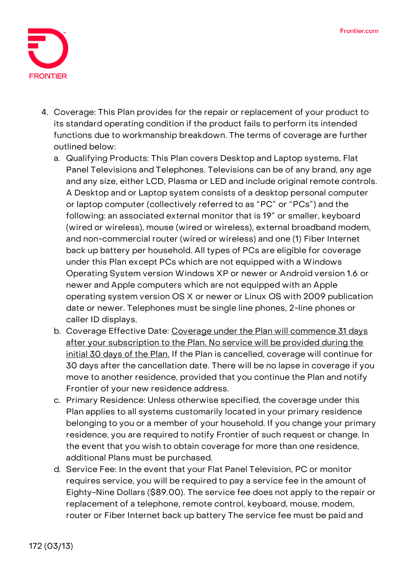

- 4. **Coverage:** This Plan provides for the repair or replacement of your product to its standard operating condition if the product fails to perform its intended functions due to workmanship breakdown. The terms of coverage are further outlined below:
	- a. Qualifying Products: This Plan covers Desktop and Laptop systems, Flat Panel Televisions and Telephones. Televisions can be of any brand, any age and any size, either LCD, Plasma or LED and include original remote controls. A Desktop and or Laptop system consists of a desktop personal computer or laptop computer (collectively referred to as "PC" or "PCs") and the following: an associated external monitor that is 19" or smaller, keyboard (wired or wireless), mouse (wired or wireless), external broadband modem, and non-commercial router (wired or wireless) and one (1) Fiber Internet back up battery per household. All types of PCs are eligible for coverage under this Plan except PCs which are not equipped with a Windows Operating System version Windows XP or newer or Android version 1.6 or newer and Apple computers which are not equipped with an Apple operating system version OS X or newer or Linux OS with 2009 publication date or newer. Telephones must be single line phones, 2-line phones or caller ID displays.
	- b. Coverage Effective Date: **Coverage under the Plan will commence 31 days after your subscription to the Plan. No service will be provided during the initial 30 days of the Plan. If the Plan is cancelled, coverage will continue for 30 days after the cancellation date.** There will be no lapse in coverage if you move to another residence, provided that you continue the Plan and notify Frontier of your new residence address.
	- c. Primary Residence: Unless otherwise specified, the coverage under this Plan applies to all systems customarily located in your primary residence belonging to you or a member of your household. If you change your primary residence, you are required to notify Frontier of such request or change. In the event that you wish to obtain coverage for more than one residence, additional Plans must be purchased.
	- d. Service Fee: **In the event that your Flat Panel Television, PC or monitor requires service, you will be required to pay a service fee in the amount of Eighty-Nine Dollars (\$89.00).** The service fee does not apply to the repair or replacement of a telephone, remote control, keyboard, mouse, modem, router or Fiber Internet back up battery The service fee must be paid and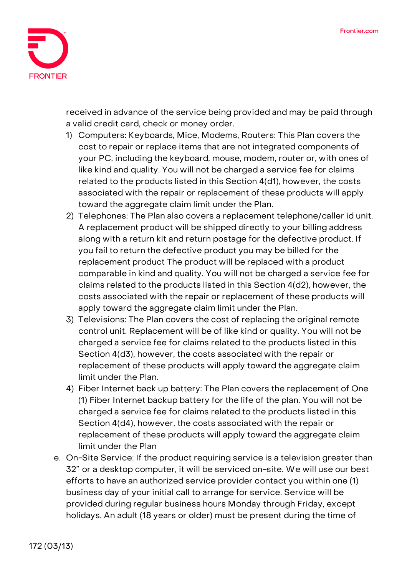

received in advance of the service being provided and may be paid through a valid credit card, check or money order.

- 1) Computers: Keyboards, Mice, Modems, Routers: This Plan covers the cost to repair or replace items that are not integrated components of your PC, including the keyboard, mouse, modem, router or, with ones of like kind and quality. You will not be charged a service fee for claims related to the products listed in this Section 4(d1), however, the costs associated with the repair or replacement of these products will apply toward the aggregate claim limit under the Plan.
- 2) Telephones: The Plan also covers a replacement telephone/caller id unit. A replacement product will be shipped directly to your billing address along with a return kit and return postage for the defective product. If you fail to return the defective product you may be billed for the replacement product The product will be replaced with a product comparable in kind and quality. You will not be charged a service fee for claims related to the products listed in this Section 4(d2), however, the costs associated with the repair or replacement of these products will apply toward the aggregate claim limit under the Plan.
- 3) Televisions: The Plan covers the cost of replacing the original remote control unit. Replacement will be of like kind or quality. You will not be charged a service fee for claims related to the products listed in this Section 4(d3), however, the costs associated with the repair or replacement of these products will apply toward the aggregate claim limit under the Plan.
- 4) Fiber Internet back up battery: The Plan covers the replacement of One (1) Fiber Internet backup battery for the life of the plan. You will not be charged a service fee for claims related to the products listed in this Section 4(d4), however, the costs associated with the repair or replacement of these products will apply toward the aggregate claim limit under the Plan
- e. On-Site Service: If the product requiring service is a television greater than 32" or a desktop computer, it will be serviced on-site. We will use our best efforts to have an authorized service provider contact you within one (1) business day of your initial call to arrange for service. Service will be provided during regular business hours Monday through Friday, except holidays. An adult (18 years or older) must be present during the time of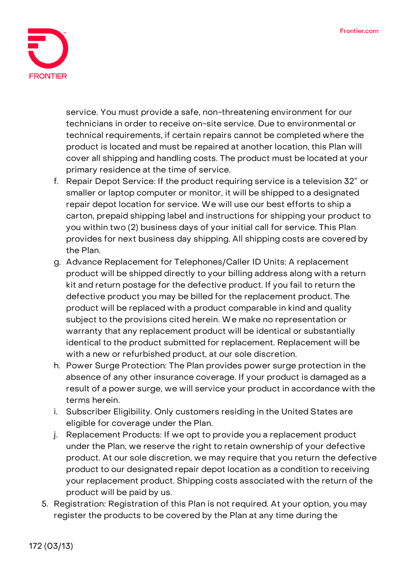

service. You must provide a safe, non-threatening environment for our technicians in order to receive on-site service. Due to environmental or technical requirements, if certain repairs cannot be completed where the product is located and must be repaired at another location, this Plan will cover all shipping and handling costs. The product must be located at your primary residence at the time of service.

- f. Repair Depot Service: If the product requiring service is a television 32" or smaller or laptop computer or monitor, it will be shipped to a designated repair depot location for service. We will use our best efforts to ship a carton, prepaid shipping label and instructions for shipping your product to you within two (2) business days of your initial call for service. This Plan provides for next business day shipping. All shipping costs are covered by the Plan.
- g. Advance Replacement for Telephones/Caller ID Units: A replacement product will be shipped directly to your billing address along with a return kit and return postage for the defective product. If you fail to return the defective product you may be billed for the replacement product. The product will be replaced with a product comparable in kind and quality subject to the provisions cited herein. We make no representation or warranty that any replacement product will be identical or substantially identical to the product submitted for replacement. Replacement will be with a new or refurbished product, at our sole discretion.
- h. Power Surge Protection: The Plan provides power surge protection in the absence of any other insurance coverage. If your product is damaged as a result of a power surge, we will service your product in accordance with the terms herein.
- i. Subscriber Eligibility. Only customers residing in the United States are eligible for coverage under the Plan.
- j. Replacement Products: If we opt to provide you a replacement product under the Plan, we reserve the right to retain ownership of your defective product. At our sole discretion, we may require that you return the defective product to our designated repair depot location as a condition to receiving your replacement product. Shipping costs associated with the return of the product will be paid by us.
- 5. **Registration:** Registration of this Plan is not required. At your option, you may register the products to be covered by the Plan at any time during the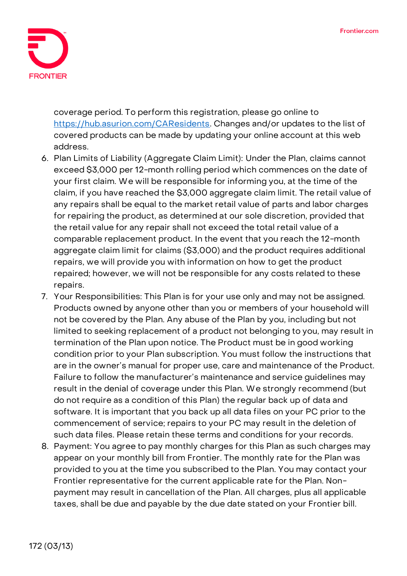

coverage period. To perform this registration, please go online to [https://hub.asurion.com/CAResidents.](https://hub.asurion.com/CAResidents) Changes and/or updates to the list of covered products can be made by updating your online account at this web address.

- 6. **Plan Limits of Liability (Aggregate Claim Limit):** Under the Plan, claims cannot exceed \$3,000 per 12-month rolling period which commences on the date of your first claim. We will be responsible for informing you, at the time of the claim, if you have reached the \$3,000 aggregate claim limit. The retail value of any repairs shall be equal to the market retail value of parts and labor charges for repairing the product, as determined at our sole discretion, provided that the retail value for any repair shall not exceed the total retail value of a comparable replacement product. In the event that you reach the 12-month aggregate claim limit for claims (\$3,000) and the product requires additional repairs, we will provide you with information on how to get the product repaired; however, we will not be responsible for any costs related to these repairs.
- 7. **Your Responsibilities:** This Plan is for your use only and may not be assigned. Products owned by anyone other than you or members of your household will not be covered by the Plan. Any abuse of the Plan by you, including but not limited to seeking replacement of a product not belonging to you, may result in termination of the Plan upon notice. The Product must be in good working condition prior to your Plan subscription. You must follow the instructions that are in the owner's manual for proper use, care and maintenance of the Product. Failure to follow the manufacturer's maintenance and service guidelines may result in the denial of coverage under this Plan. We strongly recommend (but do not require as a condition of this Plan) the regular back up of data and software. It is important that you back up all data files on your PC prior to the commencement of service; repairs to your PC may result in the deletion of such data files. Please retain these terms and conditions for your records.
- 8. **Payment:** You agree to pay monthly charges for this Plan as such charges may appear on your monthly bill from Frontier. The monthly rate for the Plan was provided to you at the time you subscribed to the Plan. You may contact your Frontier representative for the current applicable rate for the Plan. Nonpayment may result in cancellation of the Plan. All charges, plus all applicable taxes, shall be due and payable by the due date stated on your Frontier bill.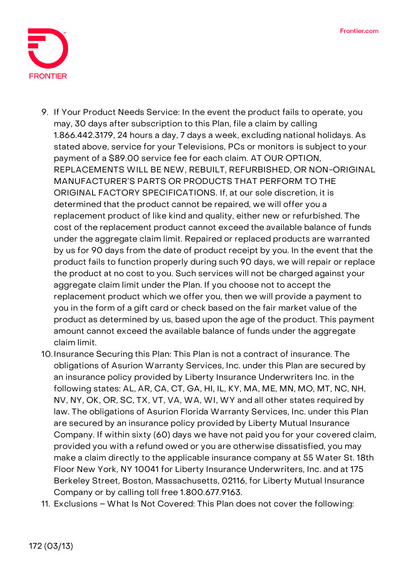

- 9. **If Your Product Needs Service:** In the event the product fails to operate, you may, 30 days after subscription to this Plan, file a claim by calling 1.866.442.3179, 24 hours a day, 7 days a week, excluding national holidays. As stated above, service for your Televisions, PCs or monitors is subject to your payment of a \$89.00 service fee for each claim. **AT OUR OPTION, REPLACEMENTS WILL BE NEW, REBUILT, REFURBISHED, OR NON-ORIGINAL MANUFACTURER'S PARTS OR PRODUCTS THAT PERFORM TO THE ORIGINAL FACTORY SPECIFICATIONS.** If, at our sole discretion, it is determined that the product cannot be repaired, we will offer you a replacement product of like kind and quality, either new or refurbished. The cost of the replacement product cannot exceed the available balance of funds under the aggregate claim limit. Repaired or replaced products are warranted by us for 90 days from the date of product receipt by you. In the event that the product fails to function properly during such 90 days, we will repair or replace the product at no cost to you. Such services will not be charged against your aggregate claim limit under the Plan. If you choose not to accept the replacement product which we offer you, then we will provide a payment to you in the form of a gift card or check based on the fair market value of the product as determined by us, based upon the age of the product. This payment amount cannot exceed the available balance of funds under the aggregate claim limit.
- 10.**Insurance Securing this Plan:** This Plan is not a contract of insurance. The obligations of Asurion Warranty Services, Inc. under this Plan are secured by an insurance policy provided by Liberty Insurance Underwriters Inc. in the following states: AL, AR, CA, CT, GA, HI, IL, KY, MA, ME, MN, MO, MT, NC, NH, NV, NY, OK, OR, SC, TX, VT, VA, WA, WI, WY and all other states required by law. The obligations of Asurion Florida Warranty Services, Inc. under this Plan are secured by an insurance policy provided by Liberty Mutual Insurance Company. If within sixty (60) days we have not paid you for your covered claim, provided you with a refund owed or you are otherwise dissatisfied, you may make a claim directly to the applicable insurance company at 55 Water St. 18th Floor New York, NY 10041 for Liberty Insurance Underwriters, Inc. and at 175 Berkeley Street, Boston, Massachusetts, 02116, for Liberty Mutual Insurance Company or by calling toll free 1.800.677.9163.
- 11. **Exclusions – What Is Not Covered:** This Plan does not cover the following: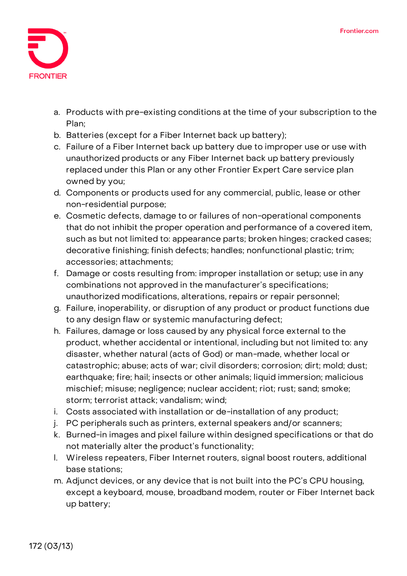

- a. Products with pre-existing conditions at the time of your subscription to the Plan;
- b. Batteries (except for a Fiber Internet back up battery);
- c. Failure of a Fiber Internet back up battery due to improper use or use with unauthorized products or any Fiber Internet back up battery previously replaced under this Plan or any other Frontier Expert Care service plan owned by you;
- d. Components or products used for any commercial, public, lease or other non-residential purpose;
- e. Cosmetic defects, damage to or failures of non-operational components that do not inhibit the proper operation and performance of a covered item, such as but not limited to: appearance parts; broken hinges; cracked cases; decorative finishing; finish defects; handles; nonfunctional plastic; trim; accessories; attachments;
- f. Damage or costs resulting from: improper installation or setup; use in any combinations not approved in the manufacturer's specifications; unauthorized modifications, alterations, repairs or repair personnel;
- g. Failure, inoperability, or disruption of any product or product functions due to any design flaw or systemic manufacturing defect;
- h. Failures, damage or loss caused by any physical force external to the product, whether accidental or intentional, including but not limited to: any disaster, whether natural (acts of God) or man-made, whether local or catastrophic; abuse; acts of war; civil disorders; corrosion; dirt; mold; dust; earthquake; fire; hail; insects or other animals; liquid immersion; malicious mischief; misuse; negligence; nuclear accident; riot; rust; sand; smoke; storm; terrorist attack; vandalism; wind;
- i. Costs associated with installation or de-installation of any product;
- j. PC peripherals such as printers, external speakers and/or scanners;
- k. Burned-in images and pixel failure within designed specifications or that do not materially alter the product's functionality;
- l. Wireless repeaters, Fiber Internet routers, signal boost routers, additional base stations;
- m. Adjunct devices, or any device that is not built into the PC's CPU housing, except a keyboard, mouse, broadband modem, router or Fiber Internet back up battery;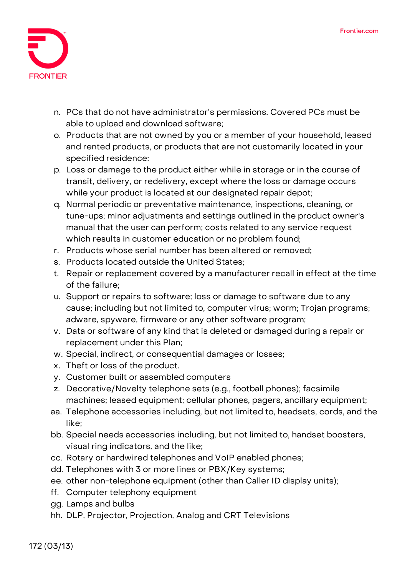

- n. PCs that do not have administrator's permissions. Covered PCs must be able to upload and download software;
- o. Products that are not owned by you or a member of your household, leased and rented products, or products that are not customarily located in your specified residence;
- p. Loss or damage to the product either while in storage or in the course of transit, delivery, or redelivery, except where the loss or damage occurs while your product is located at our designated repair depot;
- q. Normal periodic or preventative maintenance, inspections, cleaning, or tune-ups; minor adjustments and settings outlined in the product owner's manual that the user can perform; costs related to any service request which results in customer education or no problem found;
- r. Products whose serial number has been altered or removed;
- s. Products located outside the United States;
- t. Repair or replacement covered by a manufacturer recall in effect at the time of the failure;
- u. Support or repairs to software; loss or damage to software due to any cause; including but not limited to, computer virus; worm; Trojan programs; adware, spyware, firmware or any other software program;
- v. Data or software of any kind that is deleted or damaged during a repair or replacement under this Plan;
- w. Special, indirect, or consequential damages or losses;
- x. Theft or loss of the product.
- y. Customer built or assembled computers
- z. Decorative/Novelty telephone sets (e.g., football phones); facsimile machines; leased equipment; cellular phones, pagers, ancillary equipment;
- aa. Telephone accessories including, but not limited to, headsets, cords, and the like;
- bb. Special needs accessories including, but not limited to, handset boosters, visual ring indicators, and the like;
- cc. Rotary or hardwired telephones and VoIP enabled phones;
- dd. Telephones with 3 or more lines or PBX/Key systems;
- ee. other non-telephone equipment (other than Caller ID display units);
- ff. Computer telephony equipment
- gg. Lamps and bulbs
- hh. DLP, Projector, Projection, Analog and CRT Televisions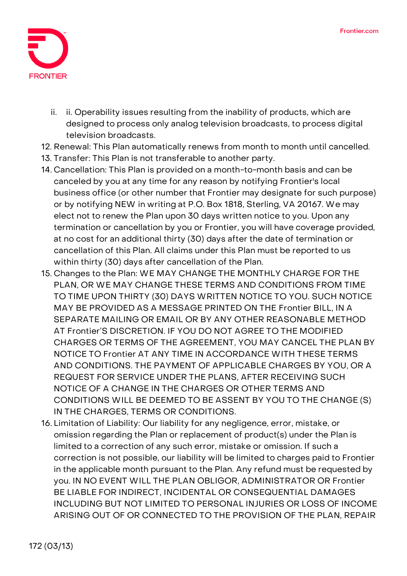

- ii. ii. Operability issues resulting from the inability of products, which are designed to process only analog television broadcasts, to process digital television broadcasts.
- 12. **Renewal:** This Plan automatically renews from month to month until cancelled.
- 13. **Transfer:** This Plan is not transferable to another party.
- 14. **Cancellation:** This Plan is provided on a month-to-month basis and can be canceled by you at any time for any reason by notifying Frontier's local business office (or other number that Frontier may designate for such purpose) or by notifying NEW in writing at P.O. Box 1818, Sterling, VA 20167. We may elect not to renew the Plan upon 30 days written notice to you. Upon any termination or cancellation by you or Frontier, you will have coverage provided, at no cost for an additional thirty (30) days after the date of termination or cancellation of this Plan. All claims under this Plan must be reported to us within thirty (30) days after cancellation of the Plan.
- 15. **Changes to the Plan:** WE MAY CHANGE THE MONTHLY CHARGE FOR THE PLAN, OR WE MAY CHANGE THESE TERMS AND CONDITIONS FROM TIME TO TIME UPON THIRTY (30) DAYS WRITTEN NOTICE TO YOU. SUCH NOTICE MAY BE PROVIDED AS A MESSAGE PRINTED ON THE Frontier BILL, IN A SEPARATE MAILING OR EMAIL OR BY ANY OTHER REASONABLE METHOD AT Frontier'S DISCRETION. IF YOU DO NOT AGREE TO THE MODIFIED CHARGES OR TERMS OF THE AGREEMENT, YOU MAY CANCEL THE PLAN BY NOTICE TO Frontier AT ANY TIME IN ACCORDANCE WITH THESE TERMS AND CONDITIONS. THE PAYMENT OF APPLICABLE CHARGES BY YOU, OR A REQUEST FOR SERVICE UNDER THE PLANS, AFTER RECEIVING SUCH NOTICE OF A CHANGE IN THE CHARGES OR OTHER TERMS AND CONDITIONS WILL BE DEEMED TO BE ASSENT BY YOU TO THE CHANGE (S) IN THE CHARGES, TERMS OR CONDITIONS.
- 16. **Limitation of Liability:** Our liability for any negligence, error, mistake, or omission regarding the Plan or replacement of product(s) under the Plan is limited to a correction of any such error, mistake or omission. If such a correction is not possible, our liability will be limited to charges paid to Frontier in the applicable month pursuant to the Plan. Any refund must be requested by you. IN NO EVENT WILL THE PLAN OBLIGOR, ADMINISTRATOR OR Frontier BE LIABLE FOR INDIRECT, INCIDENTAL OR CONSEQUENTIAL DAMAGES INCLUDING BUT NOT LIMITED TO PERSONAL INJURIES OR LOSS OF INCOME ARISING OUT OF OR CONNECTED TO THE PROVISION OF THE PLAN, REPAIR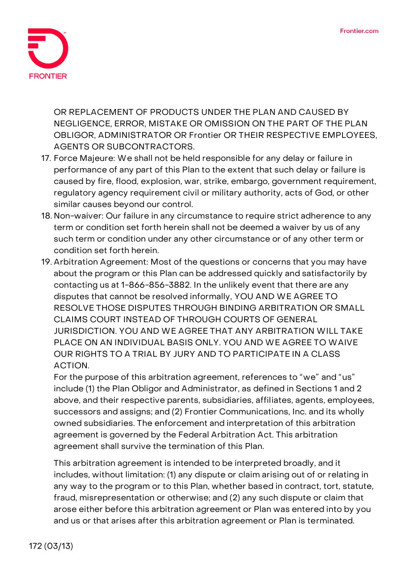

OR REPLACEMENT OF PRODUCTS UNDER THE PLAN AND CAUSED BY NEGLIGENCE, ERROR, MISTAKE OR OMISSION ON THE PART OF THE PLAN OBLIGOR, ADMINISTRATOR OR Frontier OR THEIR RESPECTIVE EMPLOYEES, AGENTS OR SUBCONTRACTORS.

- 17. **Force Majeure:** We shall not be held responsible for any delay or failure in performance of any part of this Plan to the extent that such delay or failure is caused by fire, flood, explosion, war, strike, embargo, government requirement, regulatory agency requirement civil or military authority, acts of God, or other similar causes beyond our control.
- 18. **Non-waiver:** Our failure in any circumstance to require strict adherence to any term or condition set forth herein shall not be deemed a waiver by us of any such term or condition under any other circumstance or of any other term or condition set forth herein.
- 19. **Arbitration Agreement:** Most of the questions or concerns that you may have about the program or this Plan can be addressed quickly and satisfactorily by contacting us at 1-866-856-3882. In the unlikely event that there are any disputes that cannot be resolved informally, **YOU AND WE AGREE TO RESOLVE THOSE DISPUTES THROUGH BINDING ARBITRATION OR SMALL CLAIMS COURT INSTEAD OF THROUGH COURTS OF GENERAL JURISDICTION. YOU AND WE AGREE THAT ANY ARBITRATION WILL TAKE PLACE ON AN INDIVIDUAL BASIS ONLY. YOU AND WE AGREE TO WAIVE OUR RIGHTS TO A TRIAL BY JURY AND TO PARTICIPATE IN A CLASS ACTION.**

For the purpose of this arbitration agreement, references to "we" and "us" include (1) the Plan Obligor and Administrator, as defined in Sections 1 and 2 above, and their respective parents, subsidiaries, affiliates, agents, employees, successors and assigns; and (2) Frontier Communications, Inc. and its wholly owned subsidiaries. The enforcement and interpretation of this arbitration agreement is governed by the Federal Arbitration Act. This arbitration agreement shall survive the termination of this Plan.

This arbitration agreement is intended to be interpreted broadly, and it includes, without limitation: (1) any dispute or claim arising out of or relating in any way to the program or to this Plan, whether based in contract, tort, statute, fraud, misrepresentation or otherwise; and (2) any such dispute or claim that arose either before this arbitration agreement or Plan was entered into by you and us or that arises after this arbitration agreement or Plan is terminated.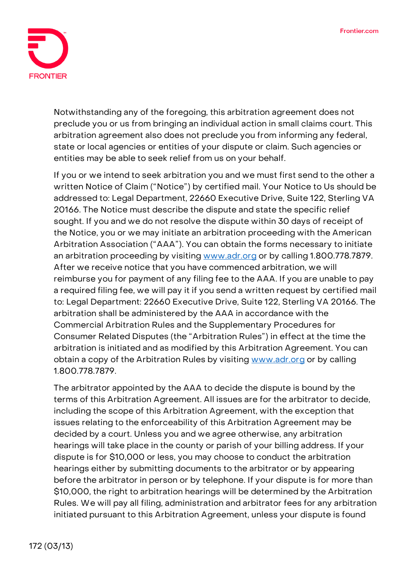

Notwithstanding any of the foregoing, this arbitration agreement does not preclude you or us from bringing an individual action in small claims court. This arbitration agreement also does not preclude you from informing any federal, state or local agencies or entities of your dispute or claim. Such agencies or entities may be able to seek relief from us on your behalf.

If you or we intend to seek arbitration you and we must first send to the other a written Notice of Claim ("Notice") by certified mail. Your Notice to Us should be addressed to: Legal Department, 22660 Executive Drive, Suite 122, Sterling VA 20166. The Notice must describe the dispute and state the specific relief sought. If you and we do not resolve the dispute within 30 days of receipt of the Notice, you or we may initiate an arbitration proceeding with the American Arbitration Association ("AAA"). You can obtain the forms necessary to initiate an arbitration proceeding by visiting [www.adr.org](http://www.adr.org/) or by calling 1.800.778.7879. After we receive notice that you have commenced arbitration, we will reimburse you for payment of any filing fee to the AAA. If you are unable to pay a required filing fee, we will pay it if you send a written request by certified mail to: Legal Department: 22660 Executive Drive, Suite 122, Sterling VA 20166. The arbitration shall be administered by the AAA in accordance with the Commercial Arbitration Rules and the Supplementary Procedures for Consumer Related Disputes (the "Arbitration Rules") in effect at the time the arbitration is initiated and as modified by this Arbitration Agreement. You can obtain a copy of the Arbitration Rules by visiting [www.adr.org](http://www.adr.org/) or by calling 1.800.778.7879.

The arbitrator appointed by the AAA to decide the dispute is bound by the terms of this Arbitration Agreement. All issues are for the arbitrator to decide, including the scope of this Arbitration Agreement, with the exception that issues relating to the enforceability of this Arbitration Agreement may be decided by a court. Unless you and we agree otherwise, any arbitration hearings will take place in the county or parish of your billing address. If your dispute is for \$10,000 or less, you may choose to conduct the arbitration hearings either by submitting documents to the arbitrator or by appearing before the arbitrator in person or by telephone. If your dispute is for more than \$10,000, the right to arbitration hearings will be determined by the Arbitration Rules. We will pay all filing, administration and arbitrator fees for any arbitration initiated pursuant to this Arbitration Agreement, unless your dispute is found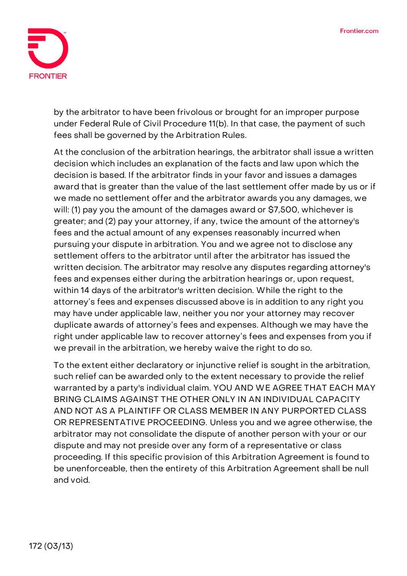

by the arbitrator to have been frivolous or brought for an improper purpose under Federal Rule of Civil Procedure 11(b). In that case, the payment of such fees shall be governed by the Arbitration Rules.

At the conclusion of the arbitration hearings, the arbitrator shall issue a written decision which includes an explanation of the facts and law upon which the decision is based. If the arbitrator finds in your favor and issues a damages award that is greater than the value of the last settlement offer made by us or if we made no settlement offer and the arbitrator awards you any damages, we will: (1) pay you the amount of the damages award or \$7,500, whichever is greater; and (2) pay your attorney, if any, twice the amount of the attorney's fees and the actual amount of any expenses reasonably incurred when pursuing your dispute in arbitration. You and we agree not to disclose any settlement offers to the arbitrator until after the arbitrator has issued the written decision. The arbitrator may resolve any disputes regarding attorney's fees and expenses either during the arbitration hearings or, upon request, within 14 days of the arbitrator's written decision. While the right to the attorney's fees and expenses discussed above is in addition to any right you may have under applicable law, neither you nor your attorney may recover duplicate awards of attorney's fees and expenses. Although we may have the right under applicable law to recover attorney's fees and expenses from you if we prevail in the arbitration, we hereby waive the right to do so.

To the extent either declaratory or injunctive relief is sought in the arbitration, such relief can be awarded only to the extent necessary to provide the relief warranted by a party's individual claim. **YOU AND WE AGREE THAT EACH MAY BRING CLAIMS AGAINST THE OTHER ONLY IN AN INDIVIDUAL CAPACITY AND NOT AS A PLAINTIFF OR CLASS MEMBER IN ANY PURPORTED CLASS OR REPRESENTATIVE PROCEEDING.** Unless you and we agree otherwise, the arbitrator may not consolidate the dispute of another person with your or our dispute and may not preside over any form of a representative or class proceeding. If this specific provision of this Arbitration Agreement is found to be unenforceable, then the entirety of this Arbitration Agreement shall be null and void.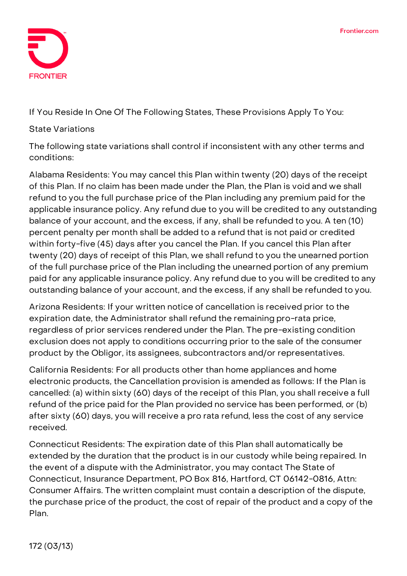

**If You Reside In One Of The Following States, These Provisions Apply To You:**

## **State Variations**

The following state variations shall control if inconsistent with any other terms and conditions:

**Alabama Residents:** You may cancel this Plan within twenty (20) days of the receipt of this Plan. If no claim has been made under the Plan, the Plan is void and we shall refund to you the full purchase price of the Plan including any premium paid for the applicable insurance policy. Any refund due to you will be credited to any outstanding balance of your account, and the excess, if any, shall be refunded to you. A ten (10) percent penalty per month shall be added to a refund that is not paid or credited within forty-five (45) days after you cancel the Plan. If you cancel this Plan after twenty (20) days of receipt of this Plan, we shall refund to you the unearned portion of the full purchase price of the Plan including the unearned portion of any premium paid for any applicable insurance policy. Any refund due to you will be credited to any outstanding balance of your account, and the excess, if any shall be refunded to you.

**Arizona Residents:** If your written notice of cancellation is received prior to the expiration date, the Administrator shall refund the remaining pro-rata price, regardless of prior services rendered under the Plan. The pre-existing condition exclusion does not apply to conditions occurring prior to the sale of the consumer product by the Obligor, its assignees, subcontractors and/or representatives.

**California Residents:** For all products other than home appliances and home electronic products, the Cancellation provision is amended as follows: If the Plan is cancelled: (a) within sixty (60) days of the receipt of this Plan, you shall receive a full refund of the price paid for the Plan provided no service has been performed, or (b) after sixty (60) days, you will receive a pro rata refund, less the cost of any service received.

**Connecticut Residents:** The expiration date of this Plan shall automatically be extended by the duration that the product is in our custody while being repaired. In the event of a dispute with the Administrator, you may contact The State of Connecticut, Insurance Department, PO Box 816, Hartford, CT 06142-0816, Attn: Consumer Affairs. The written complaint must contain a description of the dispute, the purchase price of the product, the cost of repair of the product and a copy of the Plan.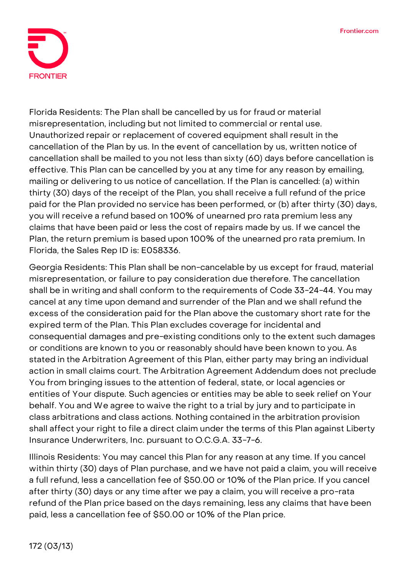

**Florida Residents:** The Plan shall be cancelled by us for fraud or material misrepresentation, including but not limited to commercial or rental use. Unauthorized repair or replacement of covered equipment shall result in the cancellation of the Plan by us. In the event of cancellation by us, written notice of cancellation shall be mailed to you not less than sixty (60) days before cancellation is effective. This Plan can be cancelled by you at any time for any reason by emailing, mailing or delivering to us notice of cancellation. If the Plan is cancelled: (a) within thirty (30) days of the receipt of the Plan, you shall receive a full refund of the price paid for the Plan provided no service has been performed, or (b) after thirty (30) days, you will receive a refund based on 100% of unearned pro rata premium less any claims that have been paid or less the cost of repairs made by us. If we cancel the Plan, the return premium is based upon 100% of the unearned pro rata premium. In Florida, the Sales Rep ID is: E058336.

**Georgia Residents:** This Plan shall be non-cancelable by us except for fraud, material misrepresentation, or failure to pay consideration due therefore. The cancellation shall be in writing and shall conform to the requirements of Code 33-24-44. You may cancel at any time upon demand and surrender of the Plan and we shall refund the excess of the consideration paid for the Plan above the customary short rate for the expired term of the Plan. This Plan excludes coverage for incidental and consequential damages and pre-existing conditions only to the extent such damages or conditions are known to you or reasonably should have been known to you. As stated in the Arbitration Agreement of this Plan, either party may bring an individual action in small claims court. The Arbitration Agreement Addendum does not preclude You from bringing issues to the attention of federal, state, or local agencies or entities of Your dispute. Such agencies or entities may be able to seek relief on Your behalf. You and We agree to waive the right to a trial by jury and to participate in class arbitrations and class actions. Nothing contained in the arbitration provision shall affect your right to file a direct claim under the terms of this Plan against Liberty Insurance Underwriters, Inc. pursuant to O.C.G.A. 33-7-6.

**Illinois Residents:** You may cancel this Plan for any reason at any time. If you cancel within thirty (30) days of Plan purchase, and we have not paid a claim, you will receive a full refund, less a cancellation fee of \$50.00 or 10% of the Plan price. If you cancel after thirty (30) days or any time after we pay a claim, you will receive a pro-rata refund of the Plan price based on the days remaining, less any claims that have been paid, less a cancellation fee of \$50.00 or 10% of the Plan price.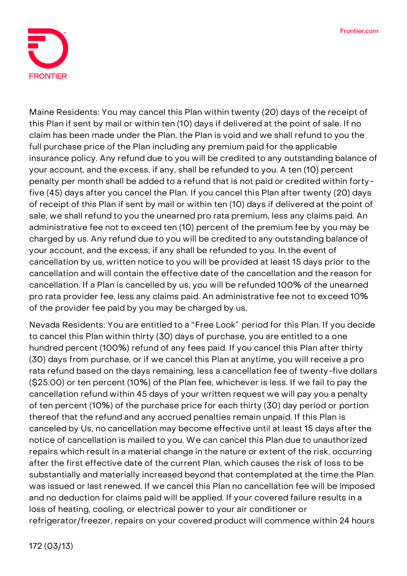

**Maine Residents:** You may cancel this Plan within twenty (20) days of the receipt of this Plan if sent by mail or within ten (10) days if delivered at the point of sale. If no claim has been made under the Plan, the Plan is void and we shall refund to you the full purchase price of the Plan including any premium paid for the applicable insurance policy. Any refund due to you will be credited to any outstanding balance of your account, and the excess, if any, shall be refunded to you. A ten (10) percent penalty per month shall be added to a refund that is not paid or credited within fortyfive (45) days after you cancel the Plan. If you cancel this Plan after twenty (20) days of receipt of this Plan if sent by mail or within ten (10) days if delivered at the point of sale, we shall refund to you the unearned pro rata premium, less any claims paid. An administrative fee not to exceed ten (10) percent of the premium fee by you may be charged by us. Any refund due to you will be credited to any outstanding balance of your account, and the excess, if any shall be refunded to you. In the event of cancellation by us, written notice to you will be provided at least 15 days prior to the cancellation and will contain the effective date of the cancellation and the reason for cancellation. If a Plan is cancelled by us, you will be refunded 100% of the unearned pro rata provider fee, less any claims paid. An administrative fee not to exceed 10% of the provider fee paid by you may be charged by us.

**Nevada Residents:** You are entitled to a "Free Look" period for this Plan. If you decide to cancel this Plan within thirty (30) days of purchase, you are entitled to a one hundred percent (100%) refund of any fees paid. If you cancel this Plan after thirty (30) days from purchase, or if we cancel this Plan at anytime, you will receive a pro rata refund based on the days remaining, less a cancellation fee of twenty-five dollars (\$25.00) or ten percent (10%) of the Plan fee, whichever is less. If we fail to pay the cancellation refund within 45 days of your written request we will pay you a penalty of ten percent (10%) of the purchase price for each thirty (30) day period or portion thereof that the refund and any accrued penalties remain unpaid. If this Plan is canceled by Us, no cancellation may become effective until at least 15 days after the notice of cancellation is mailed to you. We can cancel this Plan due to unauthorized repairs which result in a material change in the nature or extent of the risk, occurring after the first effective date of the current Plan, which causes the risk of loss to be substantially and materially increased beyond that contemplated at the time the Plan was issued or last renewed. If we cancel this Plan no cancellation fee will be imposed and no deduction for claims paid will be applied. If your covered failure results in a loss of heating, cooling, or electrical power to your air conditioner or refrigerator/freezer, repairs on your covered product will commence within 24 hours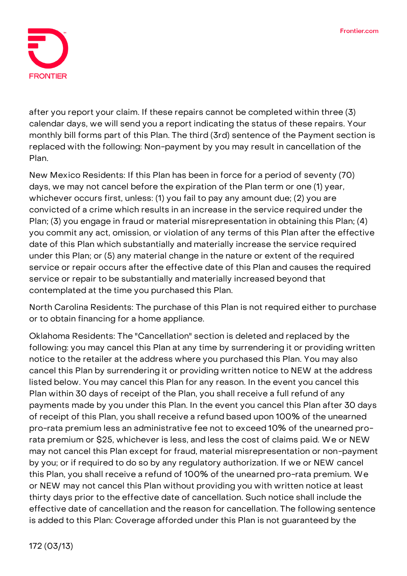

after you report your claim. If these repairs cannot be completed within three (3) calendar days, we will send you a report indicating the status of these repairs. Your monthly bill forms part of this Plan. The third (3rd) sentence of the Payment section is replaced with the following: Non-payment by you may result in cancellation of the Plan.

**New Mexico Residents:** If this Plan has been in force for a period of seventy (70) days, we may not cancel before the expiration of the Plan term or one (1) year, whichever occurs first, unless: (1) you fail to pay any amount due; (2) you are convicted of a crime which results in an increase in the service required under the Plan; (3) you engage in fraud or material misrepresentation in obtaining this Plan; (4) you commit any act, omission, or violation of any terms of this Plan after the effective date of this Plan which substantially and materially increase the service required under this Plan; or (5) any material change in the nature or extent of the required service or repair occurs after the effective date of this Plan and causes the required service or repair to be substantially and materially increased beyond that contemplated at the time you purchased this Plan.

**North Carolina Residents:** The purchase of this Plan is not required either to purchase or to obtain financing for a home appliance.

**Oklahoma Residents:** The "Cancellation" section is deleted and replaced by the following: you may cancel this Plan at any time by surrendering it or providing written notice to the retailer at the address where you purchased this Plan. You may also cancel this Plan by surrendering it or providing written notice to NEW at the address listed below. You may cancel this Plan for any reason. In the event you cancel this Plan within 30 days of receipt of the Plan, you shall receive a full refund of any payments made by you under this Plan. In the event you cancel this Plan after 30 days of receipt of this Plan, you shall receive a refund based upon 100% of the unearned pro-rata premium less an administrative fee not to exceed 10% of the unearned prorata premium or \$25, whichever is less, and less the cost of claims paid. We or NEW may not cancel this Plan except for fraud, material misrepresentation or non-payment by you; or if required to do so by any regulatory authorization. If we or NEW cancel this Plan, you shall receive a refund of 100% of the unearned pro-rata premium. We or NEW may not cancel this Plan without providing you with written notice at least thirty days prior to the effective date of cancellation. Such notice shall include the effective date of cancellation and the reason for cancellation. The following sentence is added to this Plan: Coverage afforded under this Plan is not guaranteed by the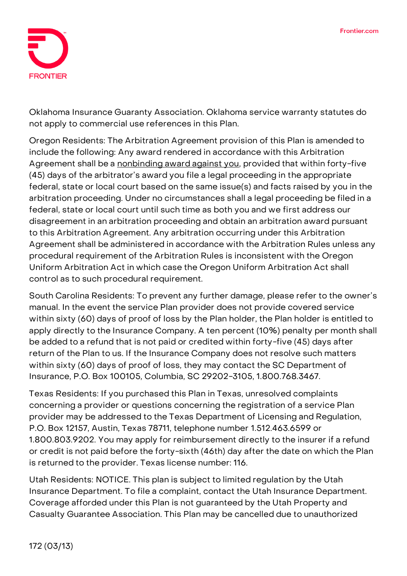

Oklahoma Insurance Guaranty Association. Oklahoma service warranty statutes do not apply to commercial use references in this Plan.

**Oregon Residents:** The Arbitration Agreement provision of this Plan is amended to include the following: **Any award rendered in accordance with this Arbitration Agreement shall be a nonbinding award against you,** provided that within forty-five (45) days of the arbitrator's award you file a legal proceeding in the appropriate federal, state or local court based on the same issue(s) and facts raised by you in the arbitration proceeding. Under no circumstances shall a legal proceeding be filed in a federal, state or local court until such time as both you and we first address our disagreement in an arbitration proceeding and obtain an arbitration award pursuant to this Arbitration Agreement. Any arbitration occurring under this Arbitration Agreement shall be administered in accordance with the Arbitration Rules unless any procedural requirement of the Arbitration Rules is inconsistent with the Oregon Uniform Arbitration Act in which case the Oregon Uniform Arbitration Act shall control as to such procedural requirement.

**South Carolina Residents:** To prevent any further damage, please refer to the owner's manual. In the event the service Plan provider does not provide covered service within sixty (60) days of proof of loss by the Plan holder, the Plan holder is entitled to apply directly to the Insurance Company. A ten percent (10%) penalty per month shall be added to a refund that is not paid or credited within forty-five (45) days after return of the Plan to us. If the Insurance Company does not resolve such matters within sixty (60) days of proof of loss, they may contact the SC Department of Insurance, P.O. Box 100105, Columbia, SC 29202-3105, 1.800.768.3467.

**Texas Residents:** If you purchased this Plan in Texas, unresolved complaints concerning a provider or questions concerning the registration of a service Plan provider may be addressed to the Texas Department of Licensing and Regulation, P.O. Box 12157, Austin, Texas 78711, telephone number 1.512.463.6599 or 1.800.803.9202. You may apply for reimbursement directly to the insurer if a refund or credit is not paid before the forty-sixth (46th) day after the date on which the Plan is returned to the provider. Texas license number: 116.

**Utah Residents: NOTICE. This plan is subject to limited regulation by the Utah Insurance Department.** To file a complaint, contact the Utah Insurance Department. Coverage afforded under this Plan is not guaranteed by the Utah Property and Casualty Guarantee Association. This Plan may be cancelled due to unauthorized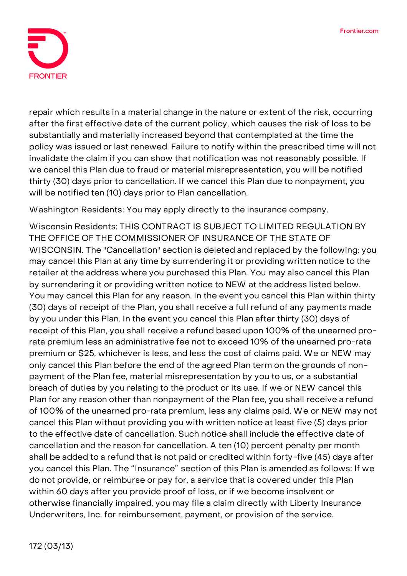

repair which results in a material change in the nature or extent of the risk, occurring after the first effective date of the current policy, which causes the risk of loss to be substantially and materially increased beyond that contemplated at the time the policy was issued or last renewed. Failure to notify within the prescribed time will not invalidate the claim if you can show that notification was not reasonably possible. If we cancel this Plan due to fraud or material misrepresentation, you will be notified thirty (30) days prior to cancellation. If we cancel this Plan due to nonpayment, you will be notified ten (10) days prior to Plan cancellation.

**Washington Residents:** You may apply directly to the insurance company.

**Wisconsin Residents: THIS CONTRACT IS SUBJECT TO LIMITED REGULATION BY THE OFFICE OF THE COMMISSIONER OF INSURANCE OF THE STATE OF WISCONSIN.** The "Cancellation" section is deleted and replaced by the following: you may cancel this Plan at any time by surrendering it or providing written notice to the retailer at the address where you purchased this Plan. You may also cancel this Plan by surrendering it or providing written notice to NEW at the address listed below. You may cancel this Plan for any reason. In the event you cancel this Plan within thirty (30) days of receipt of the Plan, you shall receive a full refund of any payments made by you under this Plan. In the event you cancel this Plan after thirty (30) days of receipt of this Plan, you shall receive a refund based upon 100% of the unearned prorata premium less an administrative fee not to exceed 10% of the unearned pro-rata premium or \$25, whichever is less, and less the cost of claims paid. We or NEW may only cancel this Plan before the end of the agreed Plan term on the grounds of nonpayment of the Plan fee, material misrepresentation by you to us, or a substantial breach of duties by you relating to the product or its use. If we or NEW cancel this Plan for any reason other than nonpayment of the Plan fee, you shall receive a refund of 100% of the unearned pro-rata premium, less any claims paid. We or NEW may not cancel this Plan without providing you with written notice at least five (5) days prior to the effective date of cancellation. Such notice shall include the effective date of cancellation and the reason for cancellation. A ten (10) percent penalty per month shall be added to a refund that is not paid or credited within forty-five (45) days after you cancel this Plan. The "Insurance" section of this Plan is amended as follows: If we do not provide, or reimburse or pay for, a service that is covered under this Plan within 60 days after you provide proof of loss, or if we become insolvent or otherwise financially impaired, you may file a claim directly with Liberty Insurance Underwriters, Inc. for reimbursement, payment, or provision of the service.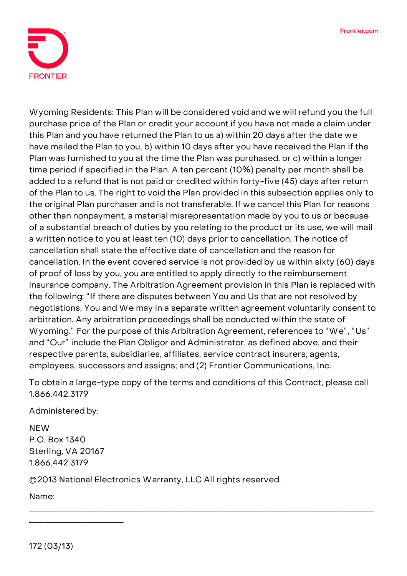

**Wyoming Residents:** This Plan will be considered void and we will refund you the full purchase price of the Plan or credit your account if you have not made a claim under this Plan and you have returned the Plan to us a) within 20 days after the date we have mailed the Plan to you, b) within 10 days after you have received the Plan if the Plan was furnished to you at the time the Plan was purchased, or c) within a longer time period if specified in the Plan. A ten percent (10%) penalty per month shall be added to a refund that is not paid or credited within forty-five (45) days after return of the Plan to us. The right to void the Plan provided in this subsection applies only to the original Plan purchaser and is not transferable. If we cancel this Plan for reasons other than nonpayment, a material misrepresentation made by you to us or because of a substantial breach of duties by you relating to the product or its use, we will mail a written notice to you at least ten (10) days prior to cancellation. The notice of cancellation shall state the effective date of cancellation and the reason for cancellation. In the event covered service is not provided by us within sixty (60) days of proof of loss by you, you are entitled to apply directly to the reimbursement insurance company. The Arbitration Agreement provision in this Plan is replaced with the following: "If there are disputes between You and Us that are not resolved by negotiations, You and We may in a separate written agreement voluntarily consent to arbitration. Any arbitration proceedings shall be conducted within the state of Wyoming." For the purpose of this Arbitration Agreement, references to "We", "Us" and "Our" include the Plan Obligor and Administrator, as defined above, and their respective parents, subsidiaries, affiliates, service contract insurers, agents, employees, successors and assigns; and (2) Frontier Communications, Inc.

**To obtain a large-type copy of the terms and conditions of this Contract, please call 1.866.442.3179**

\_\_\_\_\_\_\_\_\_\_\_\_\_\_\_\_\_\_\_\_\_\_\_\_\_\_\_\_\_\_\_\_\_\_\_\_\_\_\_\_\_\_\_\_\_\_\_\_\_\_\_\_\_\_\_\_\_\_\_\_\_\_\_\_\_\_\_\_\_\_\_\_\_\_\_\_\_\_\_\_\_\_\_\_

Administered by:

**NEW** P.O. Box 1340 Sterling, VA 20167 1.866.442.3179

\_\_\_\_\_\_\_\_\_\_\_\_\_\_\_\_\_\_\_\_\_\_\_

©2013 National Electronics Warranty, LLC All rights reserved.

Name: